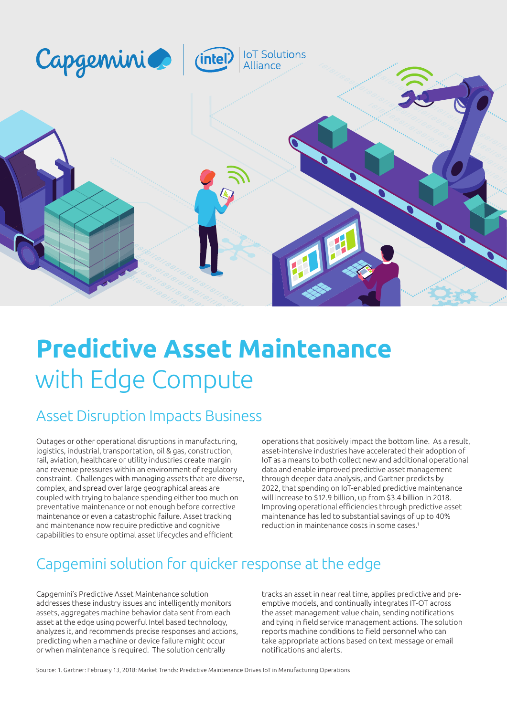

# **Predictive Asset Maintenance** with Edge Compute

# Asset Disruption Impacts Business

Outages or other operational disruptions in manufacturing, logistics, industrial, transportation, oil & gas, construction, rail, aviation, healthcare or utility industries create margin and revenue pressures within an environment of regulatory constraint. Challenges with managing assets that are diverse, complex, and spread over large geographical areas are coupled with trying to balance spending either too much on preventative maintenance or not enough before corrective maintenance or even a catastrophic failure. Asset tracking and maintenance now require predictive and cognitive capabilities to ensure optimal asset lifecycles and efficient

operations that positively impact the bottom line. As a result, asset-intensive industries have accelerated their adoption of IoT as a means to both collect new and additional operational data and enable improved predictive asset management through deeper data analysis, and Gartner predicts by 2022, that spending on IoT-enabled predictive maintenance will increase to \$12.9 billion, up from \$3.4 billion in 2018. Improving operational efficiencies through predictive asset maintenance has led to substantial savings of up to 40% reduction in maintenance costs in some cases.1

# Capgemini solution for quicker response at the edge

Capgemini's Predictive Asset Maintenance solution addresses these industry issues and intelligently monitors assets, aggregates machine behavior data sent from each asset at the edge using powerful Intel based technology, analyzes it, and recommends precise responses and actions, predicting when a machine or device failure might occur or when maintenance is required. The solution centrally

tracks an asset in near real time, applies predictive and preemptive models, and continually integrates IT-OT across the asset management value chain, sending notifications and tying in field service management actions. The solution reports machine conditions to field personnel who can take appropriate actions based on text message or email notifications and alerts.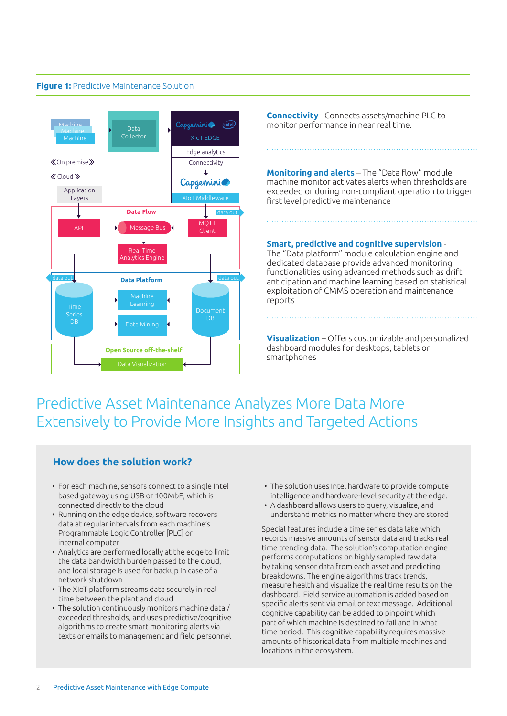#### **Figure 1:** Predictive Maintenance Solution



**Connectivity** - Connects assets/machine PLC to monitor performance in near real time.

**Monitoring and alerts** – The "Data flow" module machine monitor activates alerts when thresholds are exceeded or during non-compliant operation to trigger first level predictive maintenance

**Smart, predictive and cognitive supervision** -

The "Data platform" module calculation engine and dedicated database provide advanced monitoring functionalities using advanced methods such as drift anticipation and machine learning based on statistical exploitation of CMMS operation and maintenance reports

**Visualization** – Offers customizable and personalized dashboard modules for desktops, tablets or smartphones

# Predictive Asset Maintenance Analyzes More Data More Extensively to Provide More Insights and Targeted Actions

### **How does the solution work?**

- For each machine, sensors connect to a single Intel based gateway using USB or 100MbE, which is connected directly to the cloud
- Running on the edge device, software recovers data at regular intervals from each machine's Programmable Logic Controller [PLC] or internal computer
- Analytics are performed locally at the edge to limit the data bandwidth burden passed to the cloud, and local storage is used for backup in case of a network shutdown
- The XIoT platform streams data securely in real time between the plant and cloud
- The solution continuously monitors machine data / exceeded thresholds, and uses predictive/cognitive algorithms to create smart monitoring alerts via texts or emails to management and field personnel
- The solution uses Intel hardware to provide compute intelligence and hardware-level security at the edge.
- A dashboard allows users to query, visualize, and understand metrics no matter where they are stored

Special features include a time series data lake which records massive amounts of sensor data and tracks real time trending data. The solution's computation engine performs computations on highly sampled raw data by taking sensor data from each asset and predicting breakdowns. The engine algorithms track trends, measure health and visualize the real time results on the dashboard. Field service automation is added based on specific alerts sent via email or text message. Additional cognitive capability can be added to pinpoint which part of which machine is destined to fail and in what time period. This cognitive capability requires massive amounts of historical data from multiple machines and locations in the ecosystem.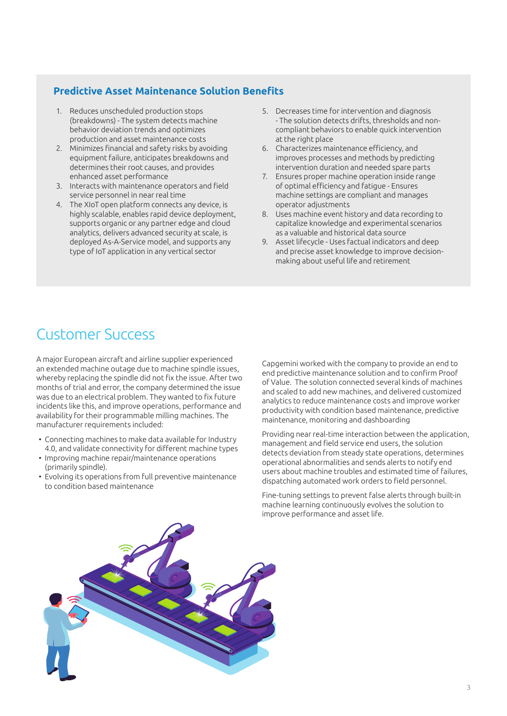#### **Predictive Asset Maintenance Solution Benefits**

- 1. Reduces unscheduled production stops (breakdowns) - The system detects machine behavior deviation trends and optimizes production and asset maintenance costs
- 2. Minimizes financial and safety risks by avoiding equipment failure, anticipates breakdowns and determines their root causes, and provides enhanced asset performance
- 3. Interacts with maintenance operators and field service personnel in near real time
- 4. The XIoT open platform connects any device, is highly scalable, enables rapid device deployment, supports organic or any partner edge and cloud analytics, delivers advanced security at scale, is deployed As-A-Service model, and supports any type of IoT application in any vertical sector
- 5. Decreases time for intervention and diagnosis - The solution detects drifts, thresholds and noncompliant behaviors to enable quick intervention at the right place
- 6. Characterizes maintenance effi ciency, and improves processes and methods by predicting intervention duration and needed spare parts
- 7. Ensures proper machine operation inside range of optimal efficiency and fatigue - Ensures machine settings are compliant and manages operator adjustments
- 8. Uses machine event history and data recording to capitalize knowledge and experimental scenarios as a valuable and historical data source
- 9. Asset lifecycle Uses factual indicators and deep and precise asset knowledge to improve decisionmaking about useful life and retirement

# Customer Success

A major European aircraft and airline supplier experienced an extended machine outage due to machine spindle issues, whereby replacing the spindle did not fix the issue. After two months of trial and error, the company determined the issue was due to an electrical problem. They wanted to fix future incidents like this, and improve operations, performance and availability for their programmable milling machines. The manufacturer requirements included:

- Connecting machines to make data available for Industry 4.0, and validate connectivity for different machine types
- Improving machine repair/maintenance operations (primarily spindle).
- Evolving its operations from full preventive maintenance to condition based maintenance

Capgemini worked with the company to provide an end to end predictive maintenance solution and to confirm Proof of Value. The solution connected several kinds of machines and scaled to add new machines, and delivered customized analytics to reduce maintenance costs and improve worker productivity with condition based maintenance, predictive maintenance, monitoring and dashboarding

Providing near real-time interaction between the application,  $m$ anagement and field service end users, the solution detects deviation from steady state operations, determines operational abnormalities and sends alerts to notify end users about machine troubles and estimated time of failures, dispatching automated work orders to field personnel.

Fine-tuning settings to prevent false alerts through built-in machine learning continuously evolves the solution to improve performance and asset life.

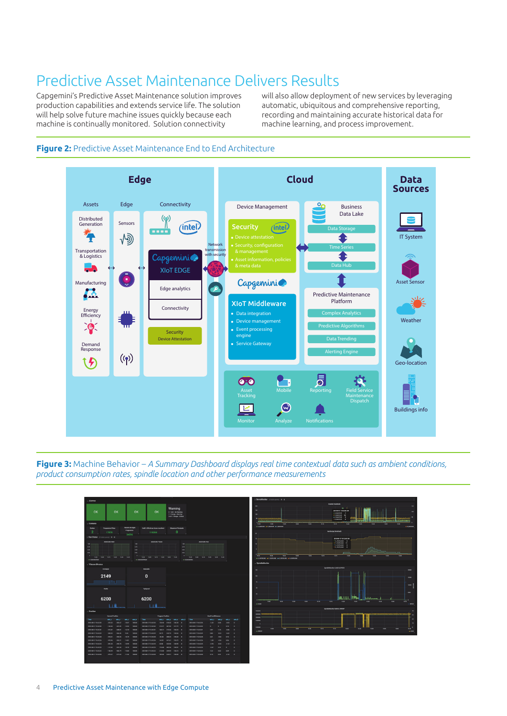# Predictive Asset Maintenance Delivers Results

Capgemini's Predictive Asset Maintenance solution improves production capabilities and extends service life. The solution will help solve future machine issues quickly because each machine is continually monitored. Solution connectivity

will also allow deployment of new services by leveraging automatic, ubiquitous and comprehensive reporting, recording and maintaining accurate historical data for machine learning, and process improvement.

=1,0101042<br>=1,0101042 11<br>=2,0101042 0<br>=1,0101042 0





**Figure 3:** Machine Behavior – *A Summary Dashboard displays real time contextual data such as ambient conditions, product consumption rates, spindle location and other performance measurements*

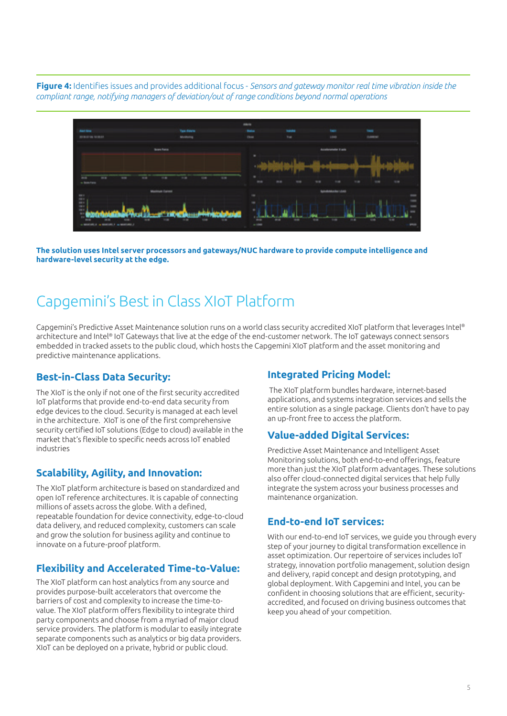**Figure 4:** Identifies issues and provides additional focus - *Sensors and gateway monitor real time vibration inside the compliant range, notifying managers of deviation/out of range conditions beyond normal operations*



**The solution uses Intel server processors and gateways/NUC hardware to provide compute intelligence and hardware-level security at the edge.**

# Capgemini's Best in Class XIoT Platform

Capgemini's Predictive Asset Maintenance solution runs on a world class security accredited XIoT platform that leverages Intel® architecture and Intel® IoT Gateways that live at the edge of the end-customer network. The IoT gateways connect sensors embedded in tracked assets to the public cloud, which hosts the Capgemini XIoT platform and the asset monitoring and predictive maintenance applications.

#### **Best-in-Class Data Security:**

The XIoT is the only if not one of the first security accredited IoT platforms that provide end-to-end data security from edge devices to the cloud. Security is managed at each level in the architecture. XIoT is one of the first comprehensive security certified IoT solutions (Edge to cloud) available in the market that's flexible to specific needs across IoT enabled industries

### **Scalability, Agility, and Innovation:**

The XIoT platform architecture is based on standardized and open IoT reference architectures. It is capable of connecting millions of assets across the globe. With a defined, repeatable foundation for device connectivity, edge-to-cloud data delivery, and reduced complexity, customers can scale and grow the solution for business agility and continue to innovate on a future-proof platform.

### **Flexibility and Accelerated Time-to-Value:**

The XIoT platform can host analytics from any source and provides purpose-built accelerators that overcome the barriers of cost and complexity to increase the time-tovalue. The XIoT platform offers flexibility to integrate third party components and choose from a myriad of major cloud service providers. The platform is modular to easily integrate separate components such as analytics or big data providers. XIoT can be deployed on a private, hybrid or public cloud.

### **Integrated Pricing Model:**

 The XIoT platform bundles hardware, internet-based applications, and systems integration services and sells the entire solution as a single package. Clients don't have to pay an up-front free to access the platform.

### **Value-added Digital Services:**

Predictive Asset Maintenance and Intelligent Asset Monitoring solutions, both end-to-end offerings, feature more than just the XIoT platform advantages. These solutions also offer cloud-connected digital services that help fully integrate the system across your business processes and maintenance organization.

### **End-to-end IoT services:**

With our end-to-end IoT services, we guide you through every step of your journey to digital transformation excellence in asset optimization. Our repertoire of services includes IoT strategy, innovation portfolio management, solution design and delivery, rapid concept and design prototyping, and global deployment. With Capgemini and Intel, you can be confident in choosing solutions that are efficient, securityaccredited, and focused on driving business outcomes that keep you ahead of your competition.